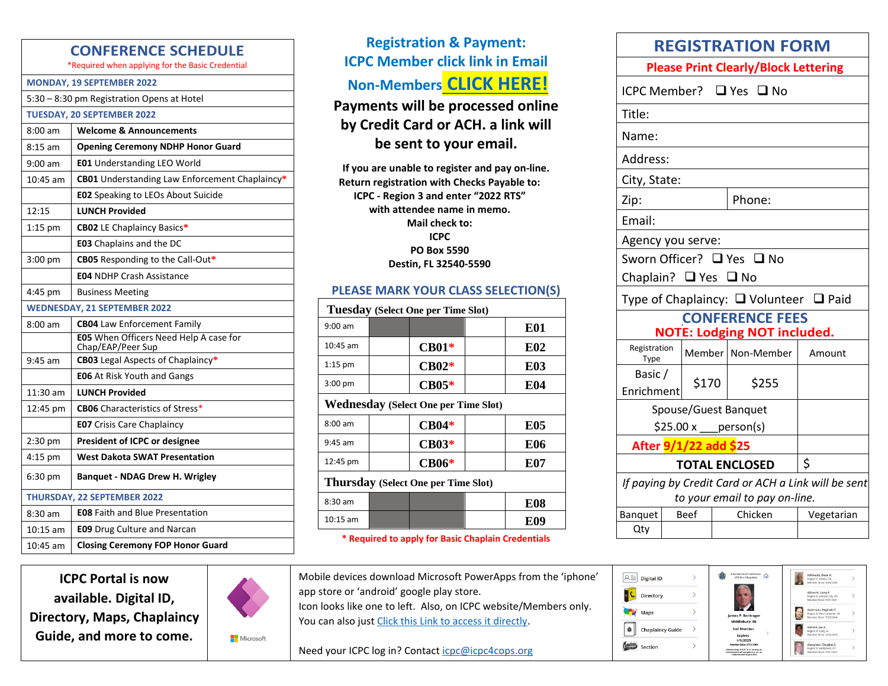### **CONFERENCE SCHEDULE**

\*Required when applying for the Basic Credential

#### **MONDAY, 19 SEPTEMBER 2022**

5:30 – 8:30 pm Registration Opens at Hotel

**TUESDAY, 20 SEPTEMBER 2022** 8:00 am **Welcome & Announcements**

| $8:15$ am  | <b>Opening Ceremony NDHP Honor Guard</b>                    |
|------------|-------------------------------------------------------------|
| $9:00$ am  | <b>E01</b> Understanding LEO World                          |
| 10:45 am   | CB01 Understanding Law Enforcement Chaplaincy*              |
|            | <b>E02</b> Speaking to LEOs About Suicide                   |
| 12:15      | <b>LUNCH Provided</b>                                       |
| $1:15$ pm  | <b>CB02</b> LE Chaplaincy Basics*                           |
|            | <b>E03</b> Chaplains and the DC                             |
| $3:00$ pm  | <b>CB05</b> Responding to the Call-Out*                     |
|            | <b>E04 NDHP Crash Assistance</b>                            |
| 4:45 pm    | <b>Business Meeting</b>                                     |
|            | <b>WEDNESDAY, 21 SEPTEMBER 2022</b>                         |
| $8:00$ am  | <b>CB04</b> Law Enforcement Family                          |
|            | E05 When Officers Need Help A case for<br>Chap/EAP/Peer Sup |
| $9:45$ am  | <b>CB03</b> Legal Aspects of Chaplaincy*                    |
|            | <b>E06</b> At Risk Youth and Gangs                          |
| 11:30 am   | <b>LUNCH Provided</b>                                       |
| 12:45 pm   | <b>CB06</b> Characteristics of Stress*                      |
|            | <b>E07</b> Crisis Care Chaplaincy                           |
| $2:30$ pm  | <b>President of ICPC or designee</b>                        |
| $4:15$ pm  | <b>West Dakota SWAT Presentation</b>                        |
| 6:30 pm    | <b>Banquet - NDAG Drew H. Wrigley</b>                       |
|            | THURSDAY, 22 SEPTEMBER 2022                                 |
| $8:30$ am  | <b>E08 Faith and Blue Presentation</b>                      |
| $10:15$ am | <b>E09</b> Drug Culture and Narcan                          |
| $10:45$ am | <b>Closing Ceremony FOP Honor Guard</b>                     |

**ICPC Portal is now available. Digital ID, Directory, Maps, Chaplaincy Guide, and more to come.**



**Nicrosoft** 

**Registration & Payment: ICPC Member click link in Email Non-Members [CLICK HERE!](https://forms.office.com/r/PryVp43ZbN)**

**Payments will be processed online by Credit Card or ACH. a link will be sent to your email.**

**If you are unable to register and pay on-line. Return registration with Checks Payable to: ICPC - Region 3 and enter "2022 RTS" with attendee name in memo. Mail check to: ICPC PO Box 5590 Destin, FL 32540-5590**

#### **PLEASE MARK YOUR CLASS SELECTION(S)**

| Tuesday (Select One per Time Slot)          |  |              |  |            |  |
|---------------------------------------------|--|--------------|--|------------|--|
| $9:00 \text{ am}$                           |  |              |  | <b>E01</b> |  |
| $10:45$ am                                  |  | $CB01*$      |  | <b>E02</b> |  |
| $1:15$ pm                                   |  | $CB02*$      |  | E03        |  |
| $3:00$ pm                                   |  | $CB05*$      |  | E04        |  |
| <b>Wednesday (Select One per Time Slot)</b> |  |              |  |            |  |
| $8:00 \text{ am}$                           |  | $CB04*$      |  | E05        |  |
| $9:45$ am                                   |  | $CB03*$      |  | E06        |  |
| 12:45 pm                                    |  | <b>CB06*</b> |  | E07        |  |
| Thursday (Select One per Time Slot)         |  |              |  |            |  |
| $8:30$ am                                   |  |              |  | <b>E08</b> |  |
| $10:15$ am                                  |  |              |  | E09        |  |

**\* Required to apply for Basic Chaplain Credentials**

Mobile devices download Microsoft PowerApps from the 'iphone' app store or 'android' google play store. Icon looks like one to left. Also, on ICPC website/Members only.

You can also jus[t Click this Link to access it directly.](https://apps.powerapps.com/play/f720d292-51e0-4850-8208-6e33584aab27?tenantId=0865b95d-6b9f-4654-9bdc-624e2e6e2f00)

Need your ICPC log in? Contac[t icpc@icpc4cops.org](mailto:icpc@icpc4cops.org)

| <b>REGISTRATION FORM</b>                         |                      |                                                           |        |  |  |  |  |
|--------------------------------------------------|----------------------|-----------------------------------------------------------|--------|--|--|--|--|
| <b>Please Print Clearly/Block Lettering</b>      |                      |                                                           |        |  |  |  |  |
| ICPC Member? $\Box$ Yes $\Box$ No                |                      |                                                           |        |  |  |  |  |
| Title:                                           |                      |                                                           |        |  |  |  |  |
| Name:                                            |                      |                                                           |        |  |  |  |  |
| Address:                                         |                      |                                                           |        |  |  |  |  |
| City, State:                                     |                      |                                                           |        |  |  |  |  |
| Zip:                                             |                      | Phone:                                                    |        |  |  |  |  |
| Email:                                           |                      |                                                           |        |  |  |  |  |
| Agency you serve:                                |                      |                                                           |        |  |  |  |  |
| Sworn Officer? □ Yes □ No                        |                      |                                                           |        |  |  |  |  |
| Chaplain? □ Yes □ No                             |                      |                                                           |        |  |  |  |  |
| Type of Chaplaincy: $\Box$ Volunteer $\Box$ Paid |                      |                                                           |        |  |  |  |  |
|                                                  |                      |                                                           |        |  |  |  |  |
|                                                  |                      | <b>CONFERENCE FEES</b>                                    |        |  |  |  |  |
| Registration<br>Type                             |                      | <b>NOTE: Lodging NOT included.</b><br>Member   Non-Member | Amount |  |  |  |  |
| Basic /                                          |                      |                                                           |        |  |  |  |  |
| Enrichment                                       | \$170                | \$255                                                     |        |  |  |  |  |
|                                                  | Spouse/Guest Banquet |                                                           |        |  |  |  |  |
|                                                  | $$25.00 x$ person(s) |                                                           |        |  |  |  |  |
| After 9/1/22 add \$25                            |                      |                                                           |        |  |  |  |  |
|                                                  |                      | <b>TOTAL ENCLOSED</b>                                     | \$     |  |  |  |  |

*to your email to pay on-line.* Banquet Beef Chicken Vegetarian Qty